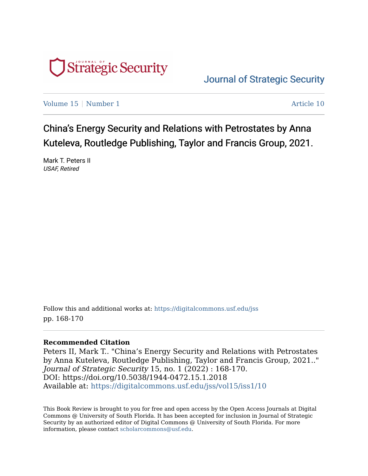

[Journal of Strategic Security](https://digitalcommons.usf.edu/jss) 

[Volume 15](https://digitalcommons.usf.edu/jss/vol15) | [Number 1](https://digitalcommons.usf.edu/jss/vol15/iss1) Article 10

China's Energy Security and Relations with Petrostates by Anna Kuteleva, Routledge Publishing, Taylor and Francis Group, 2021.

Mark T. Peters II USAF, Retired

Follow this and additional works at: [https://digitalcommons.usf.edu/jss](https://digitalcommons.usf.edu/jss?utm_source=digitalcommons.usf.edu%2Fjss%2Fvol15%2Fiss1%2F10&utm_medium=PDF&utm_campaign=PDFCoverPages) pp. 168-170

## **Recommended Citation**

Peters II, Mark T.. "China's Energy Security and Relations with Petrostates by Anna Kuteleva, Routledge Publishing, Taylor and Francis Group, 2021.." Journal of Strategic Security 15, no. 1 (2022) : 168-170. DOI: https://doi.org/10.5038/1944-0472.15.1.2018 Available at: [https://digitalcommons.usf.edu/jss/vol15/iss1/10](https://digitalcommons.usf.edu/jss/vol15/iss1/10?utm_source=digitalcommons.usf.edu%2Fjss%2Fvol15%2Fiss1%2F10&utm_medium=PDF&utm_campaign=PDFCoverPages) 

This Book Review is brought to you for free and open access by the Open Access Journals at Digital Commons @ University of South Florida. It has been accepted for inclusion in Journal of Strategic Security by an authorized editor of Digital Commons @ University of South Florida. For more information, please contact [scholarcommons@usf.edu.](mailto:scholarcommons@usf.edu)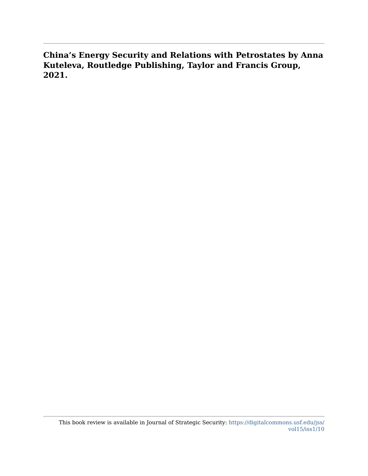**China's Energy Security and Relations with Petrostates by Anna Kuteleva, Routledge Publishing, Taylor and Francis Group, 2021.**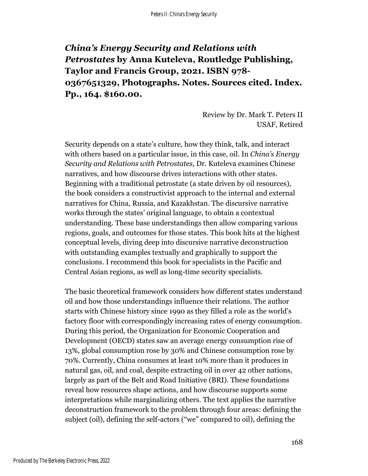## *China's Energy Security and Relations with Petrostates* **by Anna Kuteleva, Routledge Publishing, Taylor and Francis Group, 2021. ISBN 978- 0367651329, Photographs. Notes. Sources cited. Index. Pp., 164. \$160.00.**

Review by Dr. Mark T. Peters II USAF, Retired

Security depends on a state's culture, how they think, talk, and interact with others based on a particular issue, in this case, oil. In *China's Energy Security and Relations with Petrostates,* Dr. Kuteleva examines Chinese narratives, and how discourse drives interactions with other states. Beginning with a traditional petrostate (a state driven by oil resources), the book considers a constructivist approach to the internal and external narratives for China, Russia, and Kazakhstan. The discursive narrative works through the states' original language, to obtain a contextual understanding. These base understandings then allow comparing various regions, goals, and outcomes for those states. This book hits at the highest conceptual levels, diving deep into discursive narrative deconstruction with outstanding examples textually and graphically to support the conclusions. I recommend this book for specialists in the Pacific and Central Asian regions, as well as long-time security specialists.

The basic theoretical framework considers how different states understand oil and how those understandings influence their relations. The author starts with Chinese history since 1990 as they filled a role as the world's factory floor with correspondingly increasing rates of energy consumption. During this period, the Organization for Economic Cooperation and Development (OECD) states saw an average energy consumption rise of 13%, global consumption rose by 30% and Chinese consumption rose by 70%. Currently, China consumes at least 10% more than it produces in natural gas, oil, and coal, despite extracting oil in over 42 other nations, largely as part of the Belt and Road Initiative (BRI). These foundations reveal how resources shape actions, and how discourse supports some interpretations while marginalizing others. The text applies the narrative deconstruction framework to the problem through four areas: defining the subject (oil), defining the self-actors ("we" compared to oil), defining the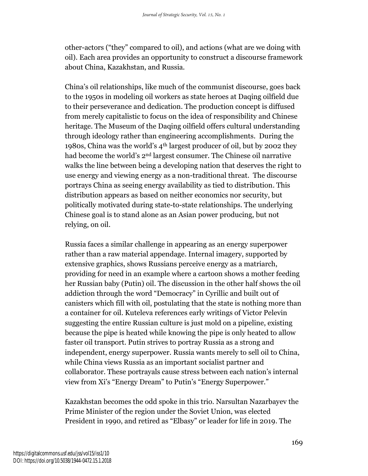other-actors ("they" compared to oil), and actions (what are we doing with oil). Each area provides an opportunity to construct a discourse framework about China, Kazakhstan, and Russia.

China's oil relationships, like much of the communist discourse, goes back to the 1950s in modeling oil workers as state heroes at Daqing oilfield due to their perseverance and dedication. The production concept is diffused from merely capitalistic to focus on the idea of responsibility and Chinese heritage. The Museum of the Daqing oilfield offers cultural understanding through ideology rather than engineering accomplishments. During the 1980s, China was the world's 4th largest producer of oil, but by 2002 they had become the world's 2nd largest consumer. The Chinese oil narrative walks the line between being a developing nation that deserves the right to use energy and viewing energy as a non-traditional threat. The discourse portrays China as seeing energy availability as tied to distribution. This distribution appears as based on neither economics nor security, but politically motivated during state-to-state relationships. The underlying Chinese goal is to stand alone as an Asian power producing, but not relying, on oil.

Russia faces a similar challenge in appearing as an energy superpower rather than a raw material appendage. Internal imagery, supported by extensive graphics, shows Russians perceive energy as a matriarch, providing for need in an example where a cartoon shows a mother feeding her Russian baby (Putin) oil. The discussion in the other half shows the oil addiction through the word "Democracy" in Cyrillic and built out of canisters which fill with oil, postulating that the state is nothing more than a container for oil. Kuteleva references early writings of Victor Pelevin suggesting the entire Russian culture is just mold on a pipeline, existing because the pipe is heated while knowing the pipe is only heated to allow faster oil transport. Putin strives to portray Russia as a strong and independent, energy superpower. Russia wants merely to sell oil to China, while China views Russia as an important socialist partner and collaborator. These portrayals cause stress between each nation's internal view from Xi's "Energy Dream" to Putin's "Energy Superpower."

Kazakhstan becomes the odd spoke in this trio. Narsultan Nazarbayev the Prime Minister of the region under the Soviet Union, was elected President in 1990, and retired as "Elbasy" or leader for life in 2019. The